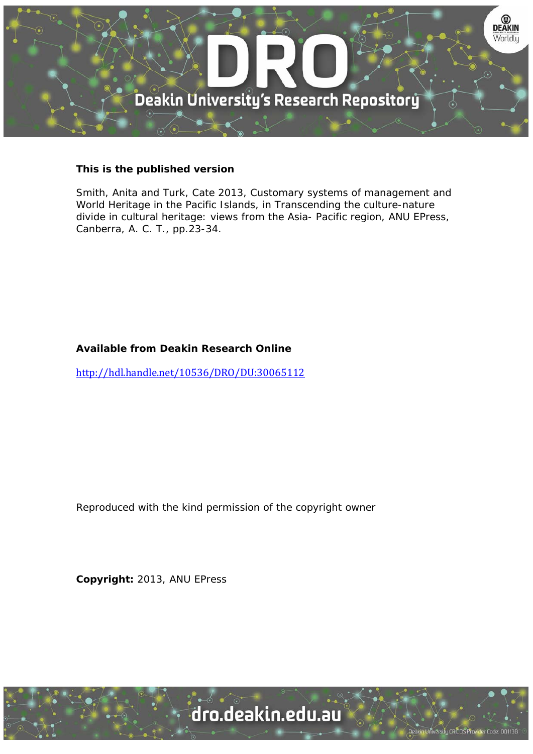

#### **This is the published version**

Smith, Anita and Turk, Cate 2013, Customary systems of management and World Heritage in the Pacific Islands, in Transcending the culture-nature divide in cultural heritage: views from the Asia- Pacific region, ANU EPress, Canberra, A. C. T., pp.23-34.

#### **Available from Deakin Research Online**

http://hdl.handle.net/10536/DRO/DU:30065112

Reproduced with the kind permission of the copyright owner

**Copyright:** 2013, ANU EPress

University CRICOS Provider Code: 00113B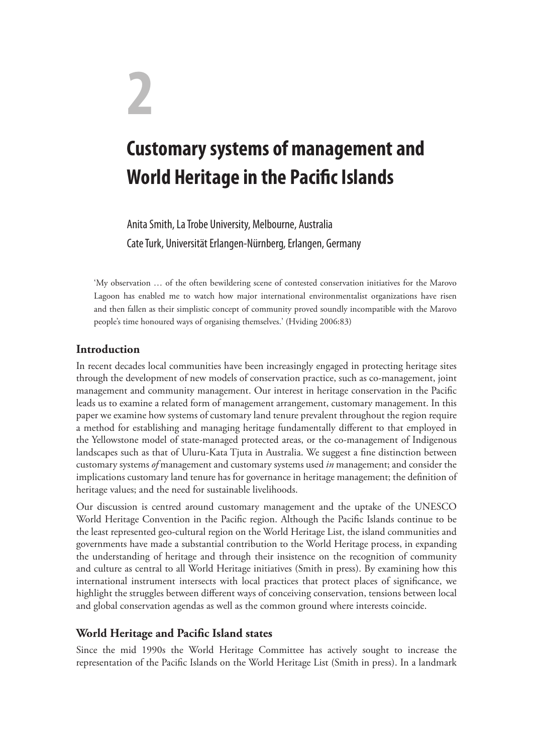# **2**

## **Customary systems of management and World Heritage in the Pacific Islands**

Anita Smith, La Trobe University, Melbourne, Australia Cate Turk, Universität Erlangen-Nürnberg, Erlangen, Germany

'My observation … of the often bewildering scene of contested conservation initiatives for the Marovo Lagoon has enabled me to watch how major international environmentalist organizations have risen and then fallen as their simplistic concept of community proved soundly incompatible with the Marovo people's time honoured ways of organising themselves.' (Hviding 2006:83)

### **Introduction**

In recent decades local communities have been increasingly engaged in protecting heritage sites through the development of new models of conservation practice, such as co-management, joint management and community management. Our interest in heritage conservation in the Pacific leads us to examine a related form of management arrangement, customary management. In this paper we examine how systems of customary land tenure prevalent throughout the region require a method for establishing and managing heritage fundamentally different to that employed in the Yellowstone model of state-managed protected areas, or the co-management of Indigenous landscapes such as that of Uluru-Kata Tjuta in Australia. We suggest a fine distinction between customary systems *of* management and customary systems used *in* management; and consider the implications customary land tenure has for governance in heritage management; the definition of heritage values; and the need for sustainable livelihoods.

Our discussion is centred around customary management and the uptake of the UNESCO World Heritage Convention in the Pacific region. Although the Pacific Islands continue to be the least represented geo-cultural region on the World Heritage List, the island communities and governments have made a substantial contribution to the World Heritage process, in expanding the understanding of heritage and through their insistence on the recognition of community and culture as central to all World Heritage initiatives (Smith in press). By examining how this international instrument intersects with local practices that protect places of significance, we highlight the struggles between different ways of conceiving conservation, tensions between local and global conservation agendas as well as the common ground where interests coincide.

#### **World Heritage and Pacific Island states**

Since the mid 1990s the World Heritage Committee has actively sought to increase the representation of the Pacific Islands on the World Heritage List (Smith in press). In a landmark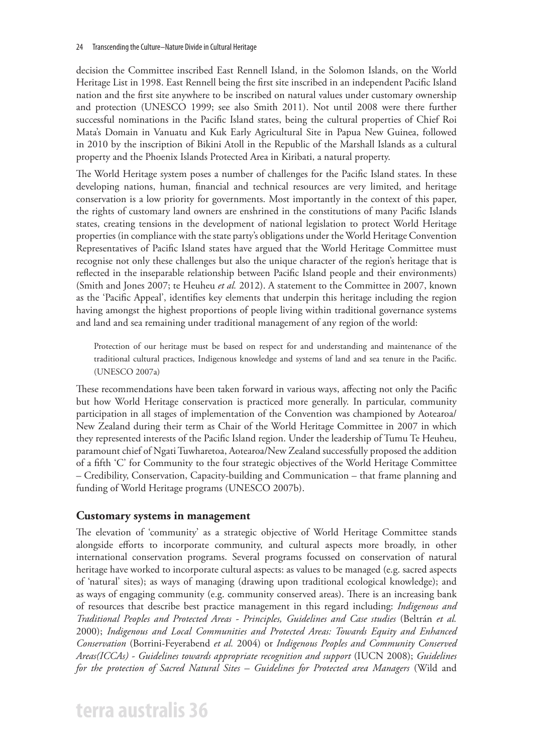decision the Committee inscribed East Rennell Island, in the Solomon Islands, on the World Heritage List in 1998. East Rennell being the first site inscribed in an independent Pacific Island nation and the first site anywhere to be inscribed on natural values under customary ownership and protection (UNESCO 1999; see also Smith 2011). Not until 2008 were there further successful nominations in the Pacific Island states, being the cultural properties of Chief Roi Mata's Domain in Vanuatu and Kuk Early Agricultural Site in Papua New Guinea, followed in 2010 by the inscription of Bikini Atoll in the Republic of the Marshall Islands as a cultural property and the Phoenix Islands Protected Area in Kiribati, a natural property.

The World Heritage system poses a number of challenges for the Pacific Island states. In these developing nations, human, financial and technical resources are very limited, and heritage conservation is a low priority for governments. Most importantly in the context of this paper, the rights of customary land owners are enshrined in the constitutions of many Pacific Islands states, creating tensions in the development of national legislation to protect World Heritage properties (in compliance with the state party's obligations under the World Heritage Convention Representatives of Pacific Island states have argued that the World Heritage Committee must recognise not only these challenges but also the unique character of the region's heritage that is reflected in the inseparable relationship between Pacific Island people and their environments) (Smith and Jones 2007; te Heuheu *et al.* 2012). A statement to the Committee in 2007, known as the 'Pacific Appeal', identifies key elements that underpin this heritage including the region having amongst the highest proportions of people living within traditional governance systems and land and sea remaining under traditional management of any region of the world:

Protection of our heritage must be based on respect for and understanding and maintenance of the traditional cultural practices, Indigenous knowledge and systems of land and sea tenure in the Pacific. (UNESCO 2007a)

These recommendations have been taken forward in various ways, affecting not only the Pacific but how World Heritage conservation is practiced more generally. In particular, community participation in all stages of implementation of the Convention was championed by Aotearoa/ New Zealand during their term as Chair of the World Heritage Committee in 2007 in which they represented interests of the Pacific Island region. Under the leadership of Tumu Te Heuheu, paramount chief of Ngati Tuwharetoa, Aotearoa/New Zealand successfully proposed the addition of a fifth 'C' for Community to the four strategic objectives of the World Heritage Committee – Credibility, Conservation, Capacity-building and Communication – that frame planning and funding of World Heritage programs (UNESCO 2007b).

#### **Customary systems in management**

The elevation of 'community' as a strategic objective of World Heritage Committee stands alongside efforts to incorporate community, and cultural aspects more broadly, in other international conservation programs. Several programs focussed on conservation of natural heritage have worked to incorporate cultural aspects: as values to be managed (e.g. sacred aspects of 'natural' sites); as ways of managing (drawing upon traditional ecological knowledge); and as ways of engaging community (e.g. community conserved areas). There is an increasing bank of resources that describe best practice management in this regard including: *Indigenous and Traditional Peoples and Protected Areas - Principles, Guidelines and Case studies* (Beltrán *et al.* 2000); *Indigenous and Local Communities and Protected Areas: Towards Equity and Enhanced Conservation* (Borrini-Feyerabend *et al.* 2004) or *Indigenous Peoples and Community Conserved Areas(ICCAs) - Guidelines towards appropriate recognition and support* (IUCN 2008); *Guidelines for the protection of Sacred Natural Sites – Guidelines for Protected area Managers* (Wild and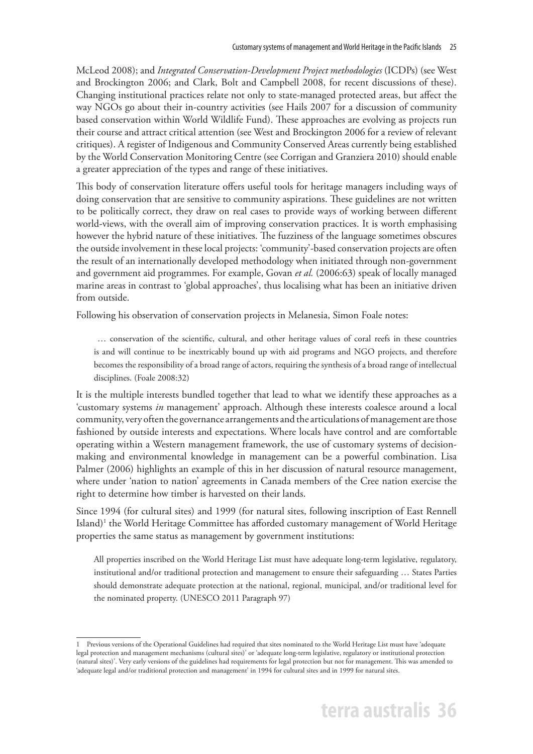McLeod 2008); and *Integrated Conservation-Development Project methodologies* (ICDPs) (see West and Brockington 2006; and Clark, Bolt and Campbell 2008, for recent discussions of these). Changing institutional practices relate not only to state-managed protected areas, but affect the way NGOs go about their in-country activities (see Hails 2007 for a discussion of community based conservation within World Wildlife Fund). These approaches are evolving as projects run their course and attract critical attention (see West and Brockington 2006 for a review of relevant critiques). A register of Indigenous and Community Conserved Areas currently being established by the World Conservation Monitoring Centre (see Corrigan and Granziera 2010) should enable a greater appreciation of the types and range of these initiatives.

This body of conservation literature offers useful tools for heritage managers including ways of doing conservation that are sensitive to community aspirations. These guidelines are not written to be politically correct, they draw on real cases to provide ways of working between different world-views, with the overall aim of improving conservation practices. It is worth emphasising however the hybrid nature of these initiatives. The fuzziness of the language sometimes obscures the outside involvement in these local projects: 'community'-based conservation projects are often the result of an internationally developed methodology when initiated through non-government and government aid programmes. For example, Govan *et al.* (2006:63) speak of locally managed marine areas in contrast to 'global approaches', thus localising what has been an initiative driven from outside.

Following his observation of conservation projects in Melanesia, Simon Foale notes:

 … conservation of the scientific, cultural, and other heritage values of coral reefs in these countries is and will continue to be inextricably bound up with aid programs and NGO projects, and therefore becomes the responsibility of a broad range of actors, requiring the synthesis of a broad range of intellectual disciplines. (Foale 2008:32)

It is the multiple interests bundled together that lead to what we identify these approaches as a 'customary systems *in* management' approach. Although these interests coalesce around a local community, very often the governance arrangements and the articulations of management are those fashioned by outside interests and expectations. Where locals have control and are comfortable operating within a Western management framework, the use of customary systems of decisionmaking and environmental knowledge in management can be a powerful combination. Lisa Palmer (2006) highlights an example of this in her discussion of natural resource management, where under 'nation to nation' agreements in Canada members of the Cree nation exercise the right to determine how timber is harvested on their lands.

Since 1994 (for cultural sites) and 1999 (for natural sites, following inscription of East Rennell Island)<sup>1</sup> the World Heritage Committee has afforded customary management of World Heritage properties the same status as management by government institutions:

All properties inscribed on the World Heritage List must have adequate long-term legislative, regulatory, institutional and/or traditional protection and management to ensure their safeguarding … States Parties should demonstrate adequate protection at the national, regional, municipal, and/or traditional level for the nominated property. (UNESCO 2011 Paragraph 97)

<sup>1</sup> Previous versions of the Operational Guidelines had required that sites nominated to the World Heritage List must have 'adequate legal protection and management mechanisms (cultural sites)' or 'adequate long-term legislative, regulatory or institutional protection (natural sites)'. Very early versions of the guidelines had requirements for legal protection but not for management. This was amended to 'adequate legal and/or traditional protection and management' in 1994 for cultural sites and in 1999 for natural sites.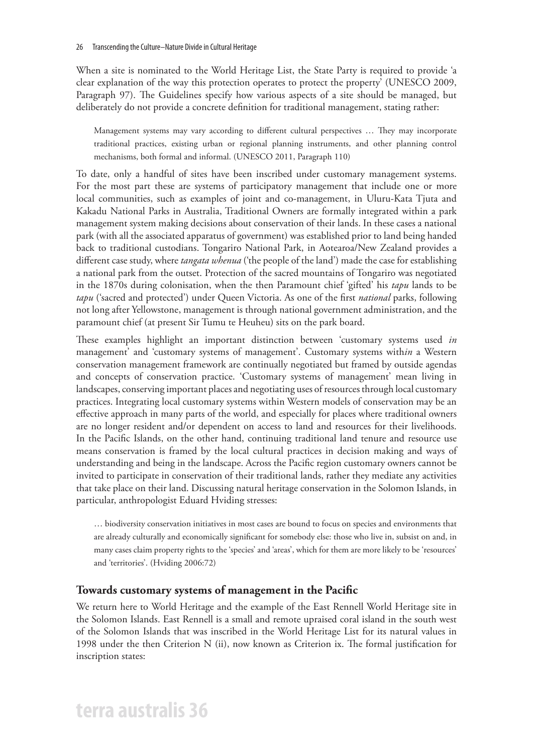When a site is nominated to the World Heritage List, the State Party is required to provide 'a clear explanation of the way this protection operates to protect the property' (UNESCO 2009, Paragraph 97). The Guidelines specify how various aspects of a site should be managed, but deliberately do not provide a concrete definition for traditional management, stating rather:

Management systems may vary according to different cultural perspectives … They may incorporate traditional practices, existing urban or regional planning instruments, and other planning control mechanisms, both formal and informal. (UNESCO 2011, Paragraph 110)

To date, only a handful of sites have been inscribed under customary management systems. For the most part these are systems of participatory management that include one or more local communities, such as examples of joint and co-management, in Uluru-Kata Tjuta and Kakadu National Parks in Australia, Traditional Owners are formally integrated within a park management system making decisions about conservation of their lands. In these cases a national park (with all the associated apparatus of government) was established prior to land being handed back to traditional custodians. Tongariro National Park, in Aotearoa/New Zealand provides a different case study, where *tangata whenua* ('the people of the land') made the case for establishing a national park from the outset. Protection of the sacred mountains of Tongariro was negotiated in the 1870s during colonisation, when the then Paramount chief 'gifted' his *tapu* lands to be *tapu* ('sacred and protected') under Queen Victoria. As one of the first *national* parks, following not long after Yellowstone, management is through national government administration, and the paramount chief (at present Sir Tumu te Heuheu) sits on the park board.

These examples highlight an important distinction between 'customary systems used *in*  management' and 'customary systems of management'. Customary systems with*in* a Western conservation management framework are continually negotiated but framed by outside agendas and concepts of conservation practice. 'Customary systems of management' mean living in landscapes, conserving important places and negotiating uses of resources through local customary practices. Integrating local customary systems within Western models of conservation may be an effective approach in many parts of the world, and especially for places where traditional owners are no longer resident and/or dependent on access to land and resources for their livelihoods. In the Pacific Islands, on the other hand, continuing traditional land tenure and resource use means conservation is framed by the local cultural practices in decision making and ways of understanding and being in the landscape. Across the Pacific region customary owners cannot be invited to participate in conservation of their traditional lands, rather they mediate any activities that take place on their land. Discussing natural heritage conservation in the Solomon Islands, in particular, anthropologist Eduard Hviding stresses:

… biodiversity conservation initiatives in most cases are bound to focus on species and environments that are already culturally and economically significant for somebody else: those who live in, subsist on and, in many cases claim property rights to the 'species' and 'areas', which for them are more likely to be 'resources' and 'territories'. (Hviding 2006:72)

#### **Towards customary systems of management in the Pacific**

We return here to World Heritage and the example of the East Rennell World Heritage site in the Solomon Islands. East Rennell is a small and remote upraised coral island in the south west of the Solomon Islands that was inscribed in the World Heritage List for its natural values in 1998 under the then Criterion N (ii), now known as Criterion ix. The formal justification for inscription states: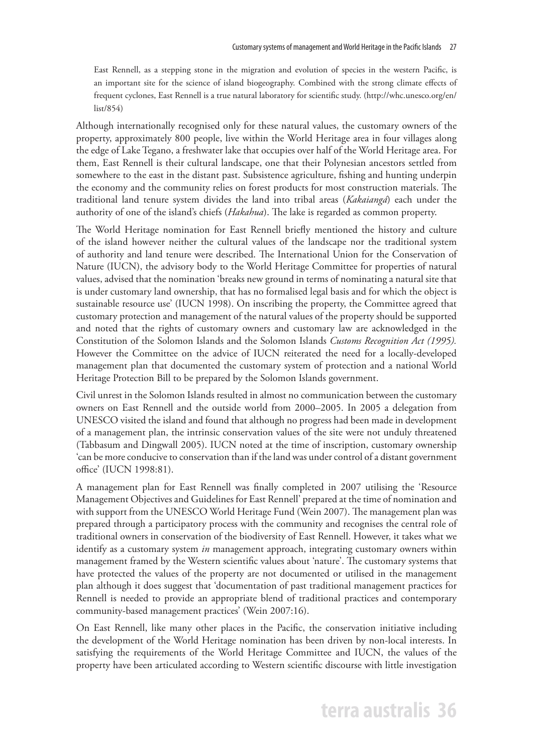East Rennell, as a stepping stone in the migration and evolution of species in the western Pacific, is an important site for the science of island biogeography. Combined with the strong climate effects of frequent cyclones, East Rennell is a true natural laboratory for scientific study. (http://whc.unesco.org/en/ list/854)

Although internationally recognised only for these natural values, the customary owners of the property, approximately 800 people, live within the World Heritage area in four villages along the edge of Lake Tegano, a freshwater lake that occupies over half of the World Heritage area. For them, East Rennell is their cultural landscape, one that their Polynesian ancestors settled from somewhere to the east in the distant past. Subsistence agriculture, fishing and hunting underpin the economy and the community relies on forest products for most construction materials. The traditional land tenure system divides the land into tribal areas (*Kakaiangá*) each under the authority of one of the island's chiefs (*Hakahua*). The lake is regarded as common property.

The World Heritage nomination for East Rennell briefly mentioned the history and culture of the island however neither the cultural values of the landscape nor the traditional system of authority and land tenure were described. The International Union for the Conservation of Nature (IUCN), the advisory body to the World Heritage Committee for properties of natural values, advised that the nomination 'breaks new ground in terms of nominating a natural site that is under customary land ownership, that has no formalised legal basis and for which the object is sustainable resource use' (IUCN 1998). On inscribing the property, the Committee agreed that customary protection and management of the natural values of the property should be supported and noted that the rights of customary owners and customary law are acknowledged in the Constitution of the Solomon Islands and the Solomon Islands *Customs Recognition Act (1995).* However the Committee on the advice of IUCN reiterated the need for a locally-developed management plan that documented the customary system of protection and a national World Heritage Protection Bill to be prepared by the Solomon Islands government.

Civil unrest in the Solomon Islands resulted in almost no communication between the customary owners on East Rennell and the outside world from 2000–2005. In 2005 a delegation from UNESCO visited the island and found that although no progress had been made in development of a management plan, the intrinsic conservation values of the site were not unduly threatened (Tabbasum and Dingwall 2005). IUCN noted at the time of inscription, customary ownership 'can be more conducive to conservation than if the land was under control of a distant government office' (IUCN 1998:81).

A management plan for East Rennell was finally completed in 2007 utilising the 'Resource Management Objectives and Guidelines for East Rennell' prepared at the time of nomination and with support from the UNESCO World Heritage Fund (Wein 2007). The management plan was prepared through a participatory process with the community and recognises the central role of traditional owners in conservation of the biodiversity of East Rennell. However, it takes what we identify as a customary system *in* management approach, integrating customary owners within management framed by the Western scientific values about 'nature'. The customary systems that have protected the values of the property are not documented or utilised in the management plan although it does suggest that 'documentation of past traditional management practices for Rennell is needed to provide an appropriate blend of traditional practices and contemporary community-based management practices' (Wein 2007:16).

On East Rennell, like many other places in the Pacific, the conservation initiative including the development of the World Heritage nomination has been driven by non-local interests. In satisfying the requirements of the World Heritage Committee and IUCN, the values of the property have been articulated according to Western scientific discourse with little investigation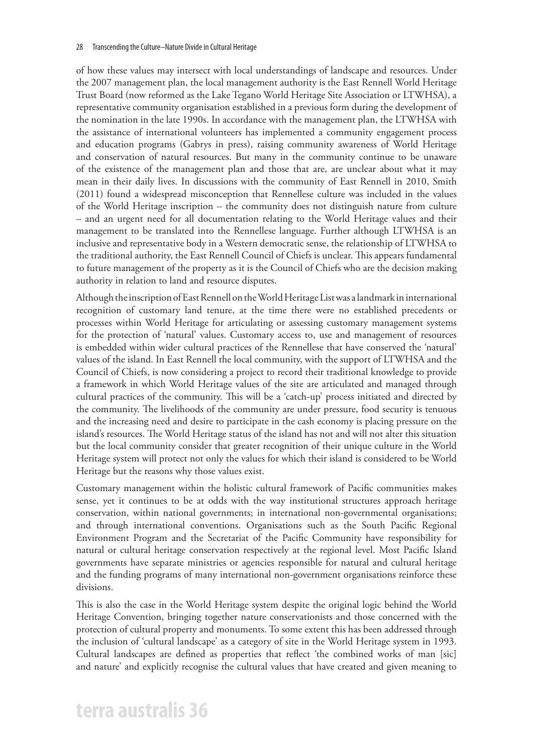of how these values may intersect with local understandings of landscape and resources. Under the 2007 management plan, the local management authority is the East Rennell World Heritage Trust Board (now reformed as the Lake Tegano World Heritage Site Association or LTWHSA), a representative community organisation established in a previous form during the development of the nomination in the late 1990s. In accordance with the management plan, the LTWHSA with the assistance of international volunteers has implemented a community engagement process and education programs (Gabrys in press), raising community awareness of World Heritage and conservation of natural resources. But many in the community continue to be unaware of the existence of the management plan and those that are, are unclear about what it may mean in their daily lives. In discussions with the community of East Rennell in 2010, Smith (2011) found a widespread misconception that Rennellese culture was included in the values of the World Heritage inscription – the community does not distinguish nature from culture – and an urgent need for all documentation relating to the World Heritage values and their management to be translated into the Rennellese language. Further although LTWHSA is an inclusive and representative body in a Western democratic sense, the relationship of LTWHSA to the traditional authority, the East Rennell Council of Chiefs is unclear. This appears fundamental to future management of the property as it is the Council of Chiefs who are the decision making authority in relation to land and resource disputes.

Although the inscription of East Rennell on the World Heritage List was a landmark in international recognition of customary land tenure, at the time there were no established precedents or processes within World Heritage for articulating or assessing customary management systems for the protection of 'natural' values. Customary access to, use and management of resources is embedded within wider cultural practices of the Rennellese that have conserved the 'natural' values of the island. In East Rennell the local community, with the support of LTWHSA and the Council of Chiefs, is now considering a project to record their traditional knowledge to provide a framework in which World Heritage values of the site are articulated and managed through cultural practices of the community. This will be a 'catch-up' process initiated and directed by the community. The livelihoods of the community are under pressure, food security is tenuous and the increasing need and desire to participate in the cash economy is placing pressure on the island's resources. The World Heritage status of the island has not and will not alter this situation but the local community consider that greater recognition of their unique culture in the World Heritage system will protect not only the values for which their island is considered to be World Heritage but the reasons why those values exist.

Customary management within the holistic cultural framework of Pacific communities makes sense, yet it continues to be at odds with the way institutional structures approach heritage conservation, within national governments; in international non-governmental organisations; and through international conventions. Organisations such as the South Pacific Regional Environment Program and the Secretariat of the Pacific Community have responsibility for natural or cultural heritage conservation respectively at the regional level. Most Pacific Island governments have separate ministries or agencies responsible for natural and cultural heritage and the funding programs of many international non-government organisations reinforce these divisions.

This is also the case in the World Heritage system despite the original logic behind the World Heritage Convention, bringing together nature conservationists and those concerned with the protection of cultural property and monuments. To some extent this has been addressed through the inclusion of 'cultural landscape' as a category of site in the World Heritage system in 1993. Cultural landscapes are defined as properties that reflect 'the combined works of man [sic] and nature' and explicitly recognise the cultural values that have created and given meaning to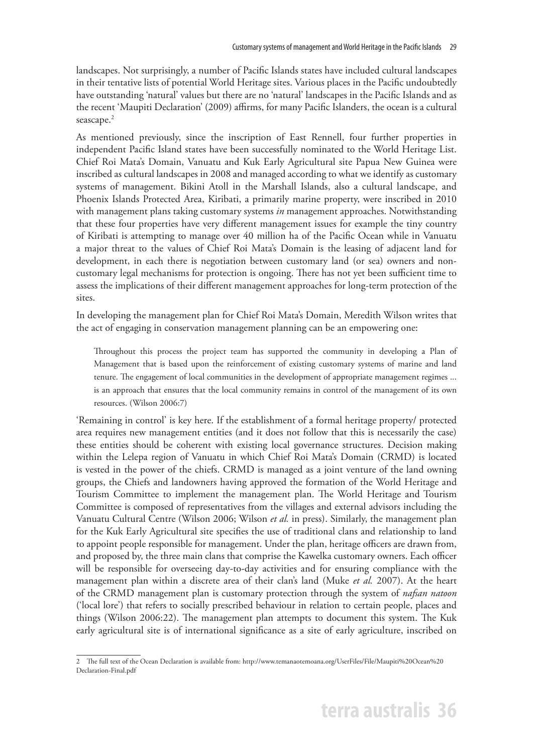landscapes. Not surprisingly, a number of Pacific Islands states have included cultural landscapes in their tentative lists of potential World Heritage sites. Various places in the Pacific undoubtedly have outstanding 'natural' values but there are no 'natural' landscapes in the Pacific Islands and as the recent 'Maupiti Declaration' (2009) affirms, for many Pacific Islanders, the ocean is a cultural seascape.<sup>2</sup>

As mentioned previously, since the inscription of East Rennell, four further properties in independent Pacific Island states have been successfully nominated to the World Heritage List. Chief Roi Mata's Domain, Vanuatu and Kuk Early Agricultural site Papua New Guinea were inscribed as cultural landscapes in 2008 and managed according to what we identify as customary systems of management. Bikini Atoll in the Marshall Islands, also a cultural landscape, and Phoenix Islands Protected Area, Kiribati, a primarily marine property, were inscribed in 2010 with management plans taking customary systems *in* management approaches. Notwithstanding that these four properties have very different management issues for example the tiny country of Kiribati is attempting to manage over 40 million ha of the Pacific Ocean while in Vanuatu a major threat to the values of Chief Roi Mata's Domain is the leasing of adjacent land for development, in each there is negotiation between customary land (or sea) owners and noncustomary legal mechanisms for protection is ongoing. There has not yet been sufficient time to assess the implications of their different management approaches for long-term protection of the sites.

In developing the management plan for Chief Roi Mata's Domain, Meredith Wilson writes that the act of engaging in conservation management planning can be an empowering one:

Throughout this process the project team has supported the community in developing a Plan of Management that is based upon the reinforcement of existing customary systems of marine and land tenure. The engagement of local communities in the development of appropriate management regimes ... is an approach that ensures that the local community remains in control of the management of its own resources. (Wilson 2006:7)

'Remaining in control' is key here. If the establishment of a formal heritage property/ protected area requires new management entities (and it does not follow that this is necessarily the case) these entities should be coherent with existing local governance structures. Decision making within the Lelepa region of Vanuatu in which Chief Roi Mata's Domain (CRMD) is located is vested in the power of the chiefs. CRMD is managed as a joint venture of the land owning groups, the Chiefs and landowners having approved the formation of the World Heritage and Tourism Committee to implement the management plan. The World Heritage and Tourism Committee is composed of representatives from the villages and external advisors including the Vanuatu Cultural Centre (Wilson 2006; Wilson *et al.* in press). Similarly, the management plan for the Kuk Early Agricultural site specifies the use of traditional clans and relationship to land to appoint people responsible for management. Under the plan, heritage officers are drawn from, and proposed by, the three main clans that comprise the Kawelka customary owners. Each officer will be responsible for overseeing day-to-day activities and for ensuring compliance with the management plan within a discrete area of their clan's land (Muke *et al.* 2007). At the heart of the CRMD management plan is customary protection through the system of *nafsan natoon* ('local lore') that refers to socially prescribed behaviour in relation to certain people, places and things (Wilson 2006:22). The management plan attempts to document this system. The Kuk early agricultural site is of international significance as a site of early agriculture, inscribed on

<sup>2</sup> The full text of the Ocean Declaration is available from: http://www.temanaotemoana.org/UserFiles/File/Maupiti%20Ocean%20 Declaration-Final.pdf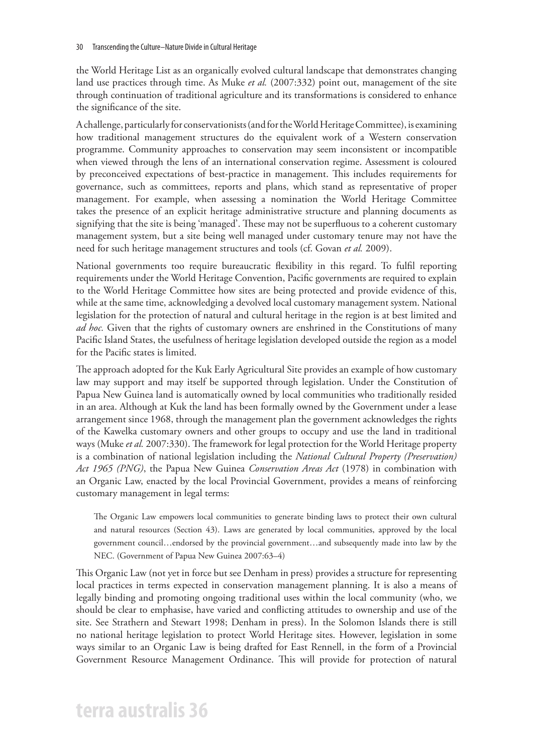the World Heritage List as an organically evolved cultural landscape that demonstrates changing land use practices through time. As Muke *et al.* (2007:332) point out, management of the site through continuation of traditional agriculture and its transformations is considered to enhance the significance of the site.

A challenge, particularly for conservationists (and for the World Heritage Committee), is examining how traditional management structures do the equivalent work of a Western conservation programme. Community approaches to conservation may seem inconsistent or incompatible when viewed through the lens of an international conservation regime. Assessment is coloured by preconceived expectations of best-practice in management. This includes requirements for governance, such as committees, reports and plans, which stand as representative of proper management. For example, when assessing a nomination the World Heritage Committee takes the presence of an explicit heritage administrative structure and planning documents as signifying that the site is being 'managed'. These may not be superfluous to a coherent customary management system, but a site being well managed under customary tenure may not have the need for such heritage management structures and tools (cf. Govan *et al.* 2009).

National governments too require bureaucratic flexibility in this regard. To fulfil reporting requirements under the World Heritage Convention, Pacific governments are required to explain to the World Heritage Committee how sites are being protected and provide evidence of this, while at the same time, acknowledging a devolved local customary management system. National legislation for the protection of natural and cultural heritage in the region is at best limited and *ad hoc.* Given that the rights of customary owners are enshrined in the Constitutions of many Pacific Island States, the usefulness of heritage legislation developed outside the region as a model for the Pacific states is limited.

The approach adopted for the Kuk Early Agricultural Site provides an example of how customary law may support and may itself be supported through legislation. Under the Constitution of Papua New Guinea land is automatically owned by local communities who traditionally resided in an area. Although at Kuk the land has been formally owned by the Government under a lease arrangement since 1968, through the management plan the government acknowledges the rights of the Kawelka customary owners and other groups to occupy and use the land in traditional ways (Muke *et al.* 2007:330). The framework for legal protection for the World Heritage property is a combination of national legislation including the *National Cultural Property (Preservation) Act 1965 (PNG)*, the Papua New Guinea *Conservation Areas Act* (1978) in combination with an Organic Law, enacted by the local Provincial Government, provides a means of reinforcing customary management in legal terms:

The Organic Law empowers local communities to generate binding laws to protect their own cultural and natural resources (Section 43). Laws are generated by local communities, approved by the local government council…endorsed by the provincial government…and subsequently made into law by the NEC. (Government of Papua New Guinea 2007:63–4)

This Organic Law (not yet in force but see Denham in press) provides a structure for representing local practices in terms expected in conservation management planning. It is also a means of legally binding and promoting ongoing traditional uses within the local community (who, we should be clear to emphasise, have varied and conflicting attitudes to ownership and use of the site. See Strathern and Stewart 1998; Denham in press). In the Solomon Islands there is still no national heritage legislation to protect World Heritage sites. However, legislation in some ways similar to an Organic Law is being drafted for East Rennell, in the form of a Provincial Government Resource Management Ordinance. This will provide for protection of natural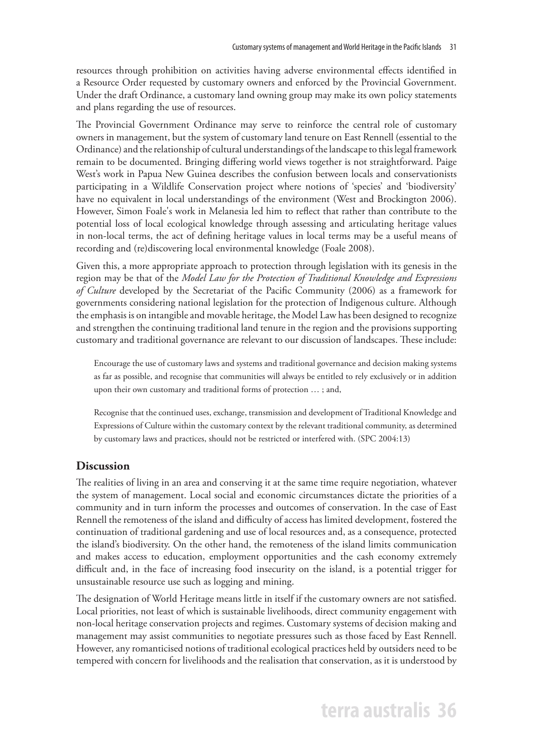resources through prohibition on activities having adverse environmental effects identified in a Resource Order requested by customary owners and enforced by the Provincial Government. Under the draft Ordinance, a customary land owning group may make its own policy statements and plans regarding the use of resources.

The Provincial Government Ordinance may serve to reinforce the central role of customary owners in management, but the system of customary land tenure on East Rennell (essential to the Ordinance) and the relationship of cultural understandings of the landscape to this legal framework remain to be documented. Bringing differing world views together is not straightforward. Paige West's work in Papua New Guinea describes the confusion between locals and conservationists participating in a Wildlife Conservation project where notions of 'species' and 'biodiversity' have no equivalent in local understandings of the environment (West and Brockington 2006). However, Simon Foale's work in Melanesia led him to reflect that rather than contribute to the potential loss of local ecological knowledge through assessing and articulating heritage values in non-local terms, the act of defining heritage values in local terms may be a useful means of recording and (re)discovering local environmental knowledge (Foale 2008).

Given this, a more appropriate approach to protection through legislation with its genesis in the region may be that of the *Model Law for the Protection of Traditional Knowledge and Expressions of Culture* developed by the Secretariat of the Pacific Community (2006) as a framework for governments considering national legislation for the protection of Indigenous culture. Although the emphasis is on intangible and movable heritage, the Model Law has been designed to recognize and strengthen the continuing traditional land tenure in the region and the provisions supporting customary and traditional governance are relevant to our discussion of landscapes. These include:

Encourage the use of customary laws and systems and traditional governance and decision making systems as far as possible, and recognise that communities will always be entitled to rely exclusively or in addition upon their own customary and traditional forms of protection … ; and,

Recognise that the continued uses, exchange, transmission and development of Traditional Knowledge and Expressions of Culture within the customary context by the relevant traditional community, as determined by customary laws and practices, should not be restricted or interfered with. (SPC 2004:13)

#### **Discussion**

The realities of living in an area and conserving it at the same time require negotiation, whatever the system of management. Local social and economic circumstances dictate the priorities of a community and in turn inform the processes and outcomes of conservation. In the case of East Rennell the remoteness of the island and difficulty of access has limited development, fostered the continuation of traditional gardening and use of local resources and, as a consequence, protected the island's biodiversity. On the other hand, the remoteness of the island limits communication and makes access to education, employment opportunities and the cash economy extremely difficult and, in the face of increasing food insecurity on the island, is a potential trigger for unsustainable resource use such as logging and mining.

The designation of World Heritage means little in itself if the customary owners are not satisfied. Local priorities, not least of which is sustainable livelihoods, direct community engagement with non-local heritage conservation projects and regimes. Customary systems of decision making and management may assist communities to negotiate pressures such as those faced by East Rennell. However, any romanticised notions of traditional ecological practices held by outsiders need to be tempered with concern for livelihoods and the realisation that conservation, as it is understood by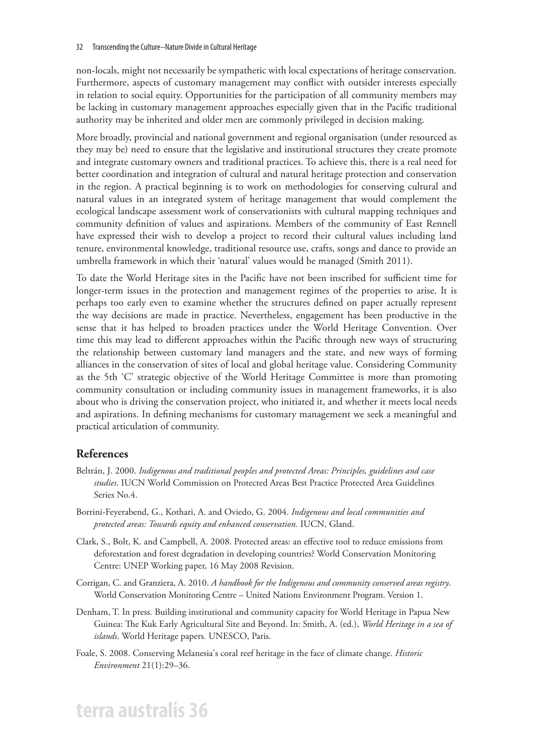non-locals, might not necessarily be sympathetic with local expectations of heritage conservation*.* Furthermore, aspects of customary management may conflict with outsider interests especially in relation to social equity. Opportunities for the participation of all community members may be lacking in customary management approaches especially given that in the Pacific traditional authority may be inherited and older men are commonly privileged in decision making.

More broadly, provincial and national government and regional organisation (under resourced as they may be) need to ensure that the legislative and institutional structures they create promote and integrate customary owners and traditional practices. To achieve this, there is a real need for better coordination and integration of cultural and natural heritage protection and conservation in the region. A practical beginning is to work on methodologies for conserving cultural and natural values in an integrated system of heritage management that would complement the ecological landscape assessment work of conservationists with cultural mapping techniques and community definition of values and aspirations. Members of the community of East Rennell have expressed their wish to develop a project to record their cultural values including land tenure, environmental knowledge, traditional resource use, crafts, songs and dance to provide an umbrella framework in which their 'natural' values would be managed (Smith 2011).

To date the World Heritage sites in the Pacific have not been inscribed for sufficient time for longer-term issues in the protection and management regimes of the properties to arise. It is perhaps too early even to examine whether the structures defined on paper actually represent the way decisions are made in practice. Nevertheless, engagement has been productive in the sense that it has helped to broaden practices under the World Heritage Convention. Over time this may lead to different approaches within the Pacific through new ways of structuring the relationship between customary land managers and the state, and new ways of forming alliances in the conservation of sites of local and global heritage value. Considering Community as the 5th 'C' strategic objective of the World Heritage Committee is more than promoting community consultation or including community issues in management frameworks, it is also about who is driving the conservation project, who initiated it, and whether it meets local needs and aspirations. In defining mechanisms for customary management we seek a meaningful and practical articulation of community.

#### **References**

- Beltrán, J. 2000. *Indigenous and traditional peoples and protected Areas: Principles, guidelines and case studies*. IUCN World Commission on Protected Areas Best Practice Protected Area Guidelines Series No.4.
- Borrini-Feyerabend, G., Kothari, A. and Oviedo, G. 2004. *Indigenous and local communities and protected areas: Towards equity and enhanced conservation.* IUCN, Gland.
- Clark, S., Bolt, K. and Campbell, A. 2008. Protected areas: an effective tool to reduce emissions from deforestation and forest degradation in developing countries? World Conservation Monitoring Centre: UNEP Working paper, 16 May 2008 Revision.
- Corrigan, C. and Granziera, A. 2010. *A handbook for the Indigenous and community conserved areas registry*. World Conservation Monitoring Centre – United Nations Environment Program. Version 1.
- Denham, T. In press. Building institutional and community capacity for World Heritage in Papua New Guinea: The Kuk Early Agricultural Site and Beyond. In: Smith, A. (ed.), *World Heritage in a sea of islands*. World Heritage papers*.* UNESCO, Paris.
- Foale, S. 2008. Conserving Melanesia's coral reef heritage in the face of climate change. *Historic Environment* 21(1):29–36.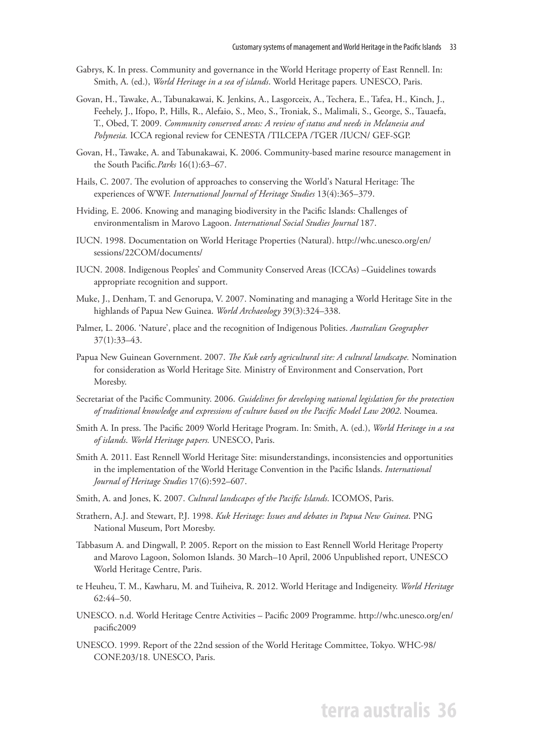- Gabrys, K. In press. Community and governance in the World Heritage property of East Rennell. In: Smith, A. (ed.), *World Heritage in a sea of islands*. World Heritage papers*.* UNESCO, Paris.
- Govan, H., Tawake, A., Tabunakawai, K. Jenkins, A., Lasgorceix, A., Techera, E., Tafea, H., Kinch, J., Feehely, J., Ifopo, P., Hills, R., Alefaio, S., Meo, S., Troniak, S., Malimali, S., George, S., Tauaefa, T., Obed, T. 2009. *Community conserved areas: A review of status and needs in Melanesia and Polynesia.* ICCA regional review for CENESTA /TILCEPA /TGER /IUCN/ GEF-SGP.
- Govan, H., Tawake, A. and Tabunakawai, K. 2006. Community-based marine resource management in the South Pacific*.Parks* 16(1):63–67.
- Hails, C. 2007. The evolution of approaches to conserving the World's Natural Heritage: The experiences of WWF. *International Journal of Heritage Studies* 13(4):365–379.
- Hviding, E. 2006. Knowing and managing biodiversity in the Pacific Islands: Challenges of environmentalism in Marovo Lagoon. *International Social Studies Journal* 187.
- IUCN. 1998. Documentation on World Heritage Properties (Natural). http://whc.unesco.org/en/ sessions/22COM/documents/
- IUCN. 2008. Indigenous Peoples' and Community Conserved Areas (ICCAs) –Guidelines towards appropriate recognition and support.
- Muke, J., Denham, T. and Genorupa, V. 2007. Nominating and managing a World Heritage Site in the highlands of Papua New Guinea. *World Archaeology* 39(3):324–338.
- Palmer, L. 2006. 'Nature', place and the recognition of Indigenous Polities. *Australian Geographer* 37(1):33–43.
- Papua New Guinean Government. 2007. *The Kuk early agricultural site: A cultural landscape.* Nomination for consideration as World Heritage Site*.* Ministry of Environment and Conservation, Port Moresby.
- Secretariat of the Pacific Community. 2006. *Guidelines for developing national legislation for the protection of traditional knowledge and expressions of culture based on the Pacific Model Law 2002*. Noumea.
- Smith A. In press. The Pacific 2009 World Heritage Program. In: Smith, A. (ed.), *World Heritage in a sea of islands*. *World Heritage papers.* UNESCO, Paris.
- Smith A. 2011. East Rennell World Heritage Site: misunderstandings, inconsistencies and opportunities in the implementation of the World Heritage Convention in the Pacific Islands. *International Journal of Heritage Studies* 17(6):592–607.
- Smith, A. and Jones, K. 2007. *Cultural landscapes of the Pacific Islands*. ICOMOS, Paris.
- Strathern, A.J. and Stewart, P.J. 1998. *Kuk Heritage: Issues and debates in Papua New Guinea*. PNG National Museum, Port Moresby.
- Tabbasum A. and Dingwall, P. 2005. Report on the mission to East Rennell World Heritage Property and Marovo Lagoon, Solomon Islands. 30 March–10 April, 2006 Unpublished report, UNESCO World Heritage Centre, Paris.
- te Heuheu, T. M., Kawharu, M. and Tuiheiva, R. 2012. World Heritage and Indigeneity. *World Heritage* 62:44–50.
- UNESCO. n.d. World Heritage Centre Activities Pacific 2009 Programme. http://whc.unesco.org/en/ pacific2009
- UNESCO. 1999. Report of the 22nd session of the World Heritage Committee, Tokyo. WHC-98/ CONF.203/18. UNESCO, Paris.